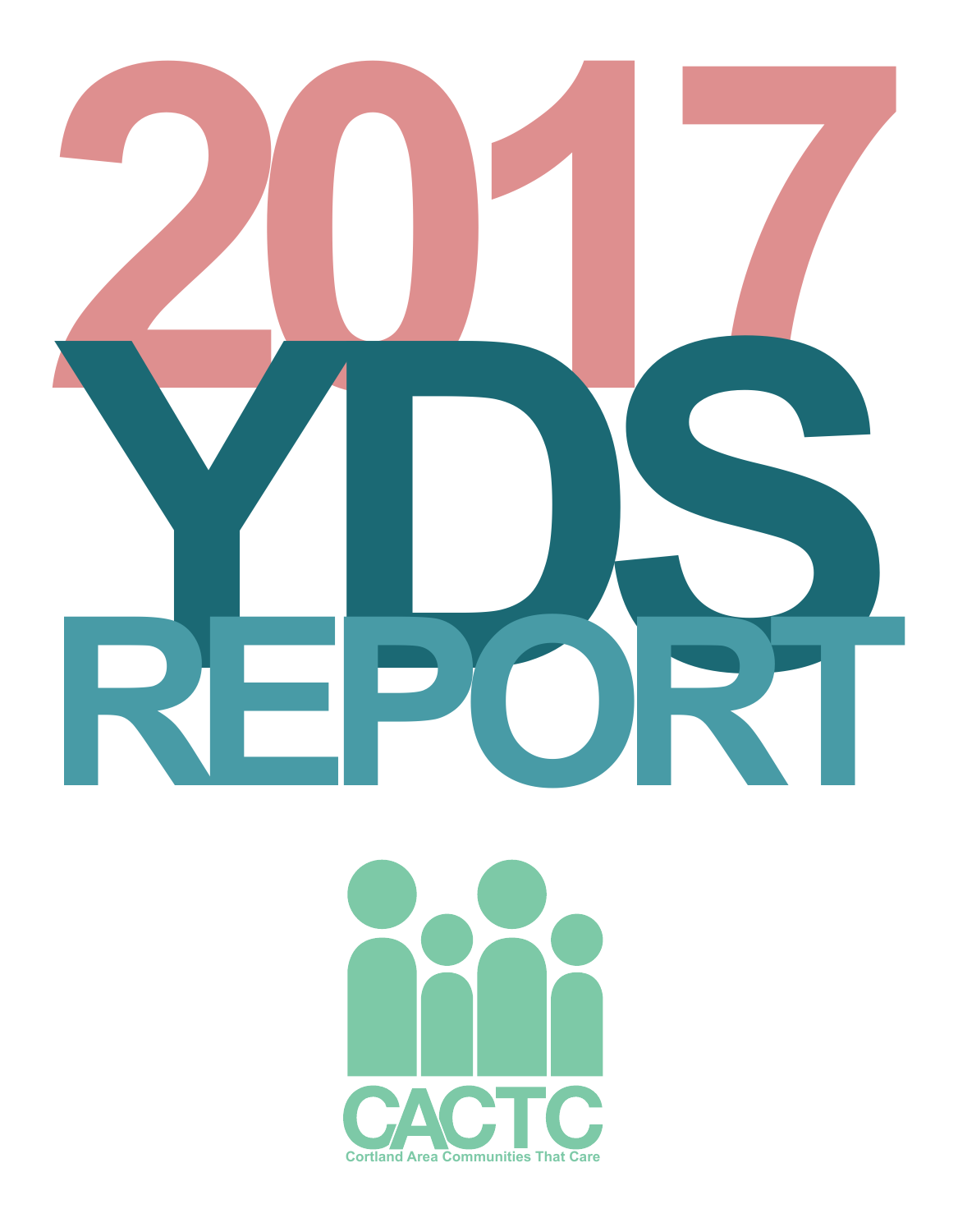

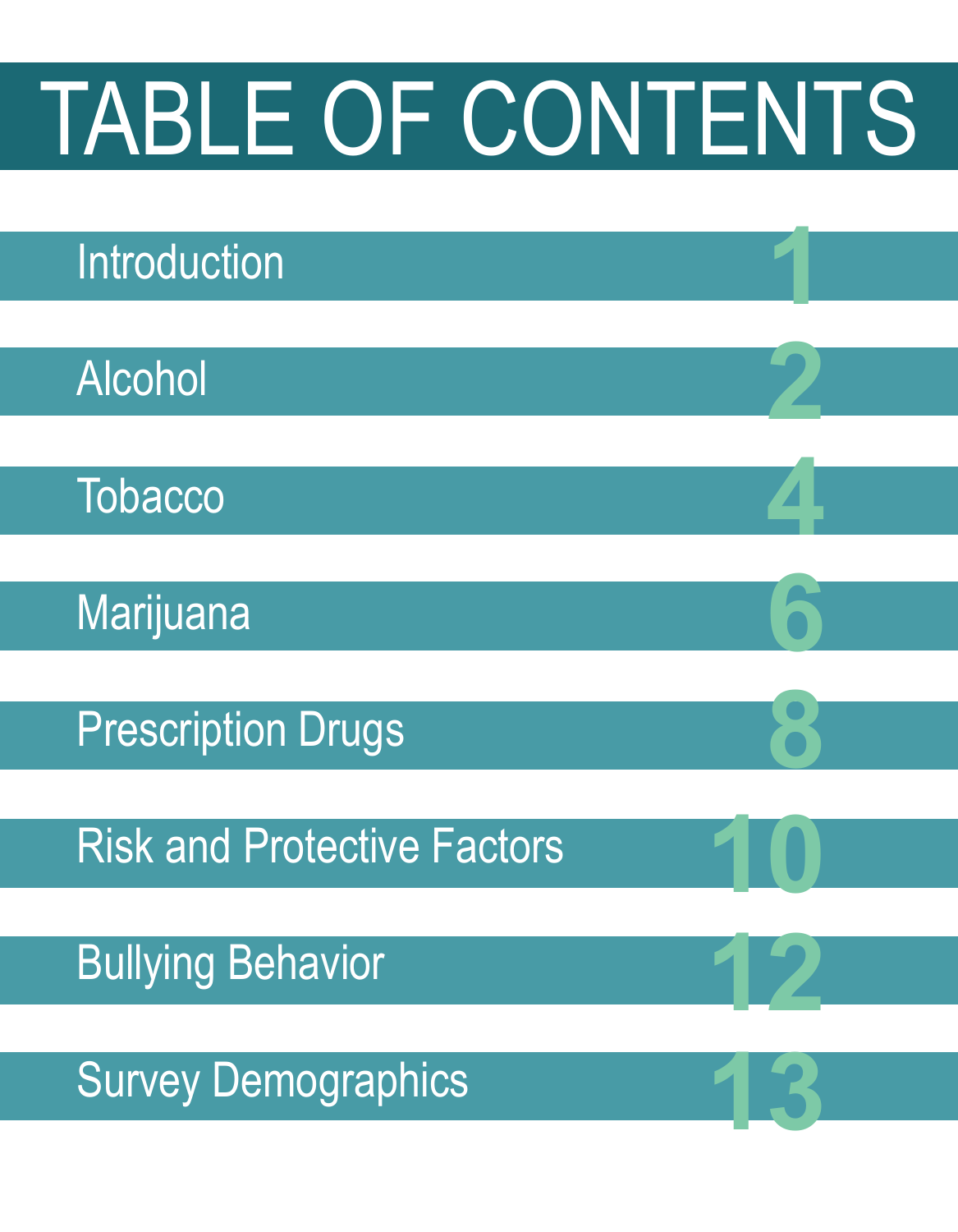

 **1**

 **2**

 **4**

 **6**

 **8**

 **10**

 **12**

**13**



Alcohol

**Tobacco** 

**Marijuana** 

Prescription Drugs

Risk and Protective Factors

Bullying Behavior

Survey Demographics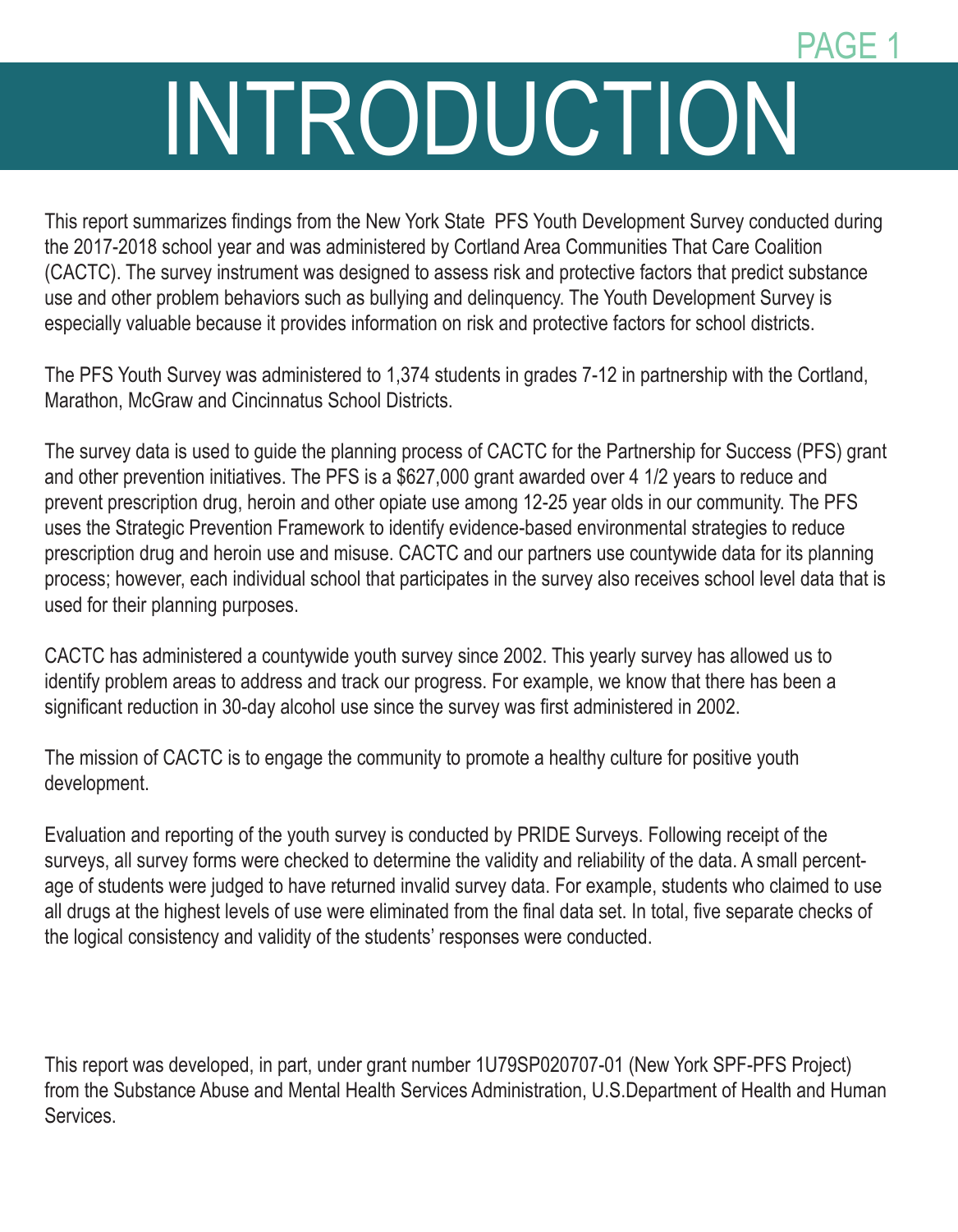### PAGE 1

# INTRODUCTION

This report summarizes findings from the New York State PFS Youth Development Survey conducted during the 2017-2018 school year and was administered by Cortland Area Communities That Care Coalition (CACTC). The survey instrument was designed to assess risk and protective factors that predict substance use and other problem behaviors such as bullying and delinquency. The Youth Development Survey is especially valuable because it provides information on risk and protective factors for school districts.

The PFS Youth Survey was administered to 1,374 students in grades 7-12 in partnership with the Cortland, Marathon, McGraw and Cincinnatus School Districts.

The survey data is used to guide the planning process of CACTC for the Partnership for Success (PFS) grant and other prevention initiatives. The PFS is a \$627,000 grant awarded over 4 1/2 years to reduce and prevent prescription drug, heroin and other opiate use among 12-25 year olds in our community. The PFS uses the Strategic Prevention Framework to identify evidence-based environmental strategies to reduce prescription drug and heroin use and misuse. CACTC and our partners use countywide data for its planning process; however, each individual school that participates in the survey also receives school level data that is used for their planning purposes.

CACTC has administered a countywide youth survey since 2002. This yearly survey has allowed us to identify problem areas to address and track our progress. For example, we know that there has been a significant reduction in 30-day alcohol use since the survey was first administered in 2002.

The mission of CACTC is to engage the community to promote a healthy culture for positive youth development.

Evaluation and reporting of the youth survey is conducted by PRIDE Surveys. Following receipt of the surveys, all survey forms were checked to determine the validity and reliability of the data. A small percentage of students were judged to have returned invalid survey data. For example, students who claimed to use all drugs at the highest levels of use were eliminated from the final data set. In total, five separate checks of the logical consistency and validity of the students' responses were conducted.

This report was developed, in part, under grant number 1U79SP020707-01 (New York SPF-PFS Project) from the Substance Abuse and Mental Health Services Administration, U.S.Department of Health and Human Services.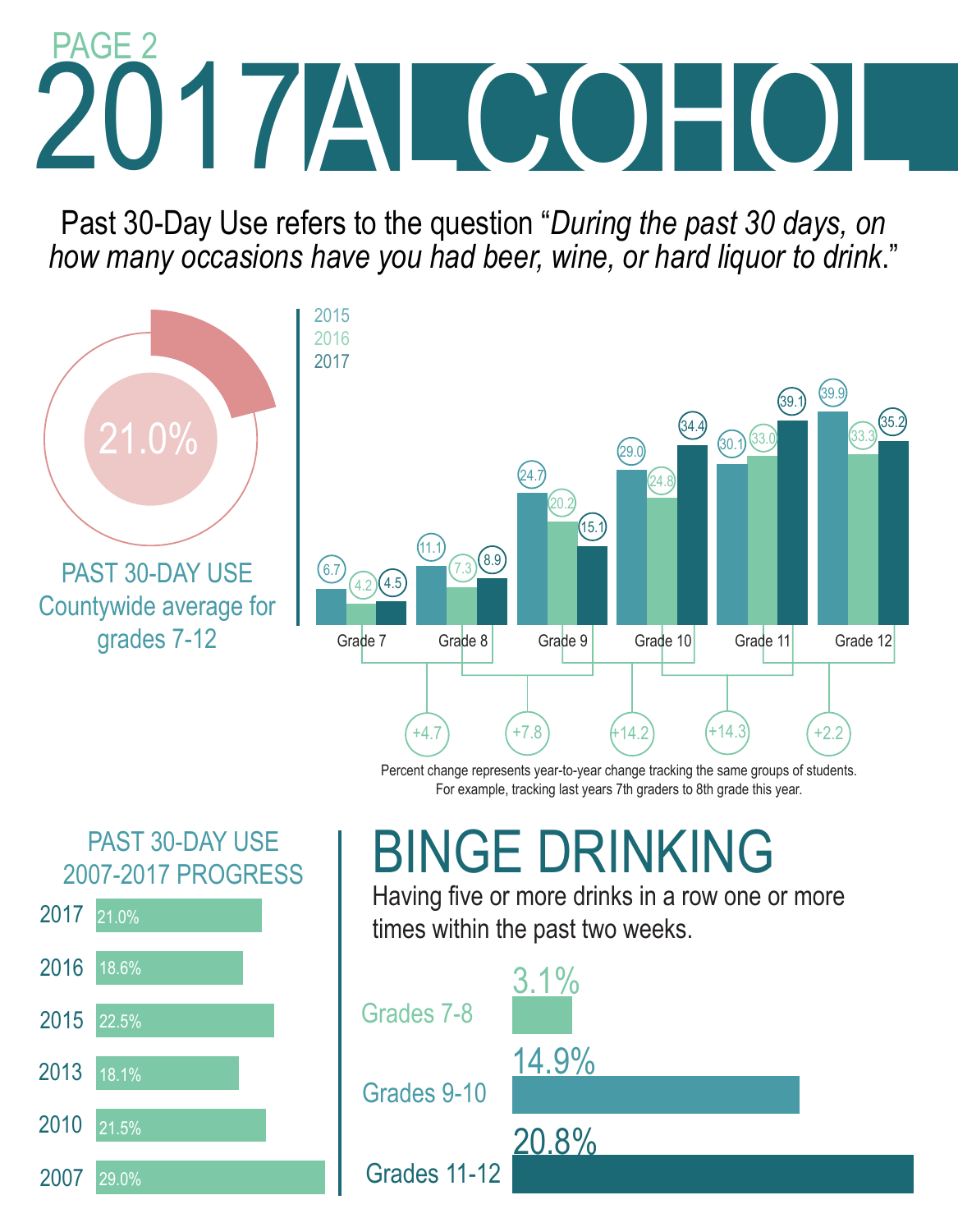# 2017 ALCOHOL PAGE 2

Past 30-Day Use refers to the question "*During the past 30 days, on how many occasions have you had beer, wine, or hard liquor to drink*."



Percent change represents year-to-year change tracking the same groups of students. For example, tracking last years 7th graders to 8th grade this year.

### PAST 30-DAY USE 2007-2017 PROGRESS



## BINGE DRINKING

Having five or more drinks in a row one or more times within the past two weeks.

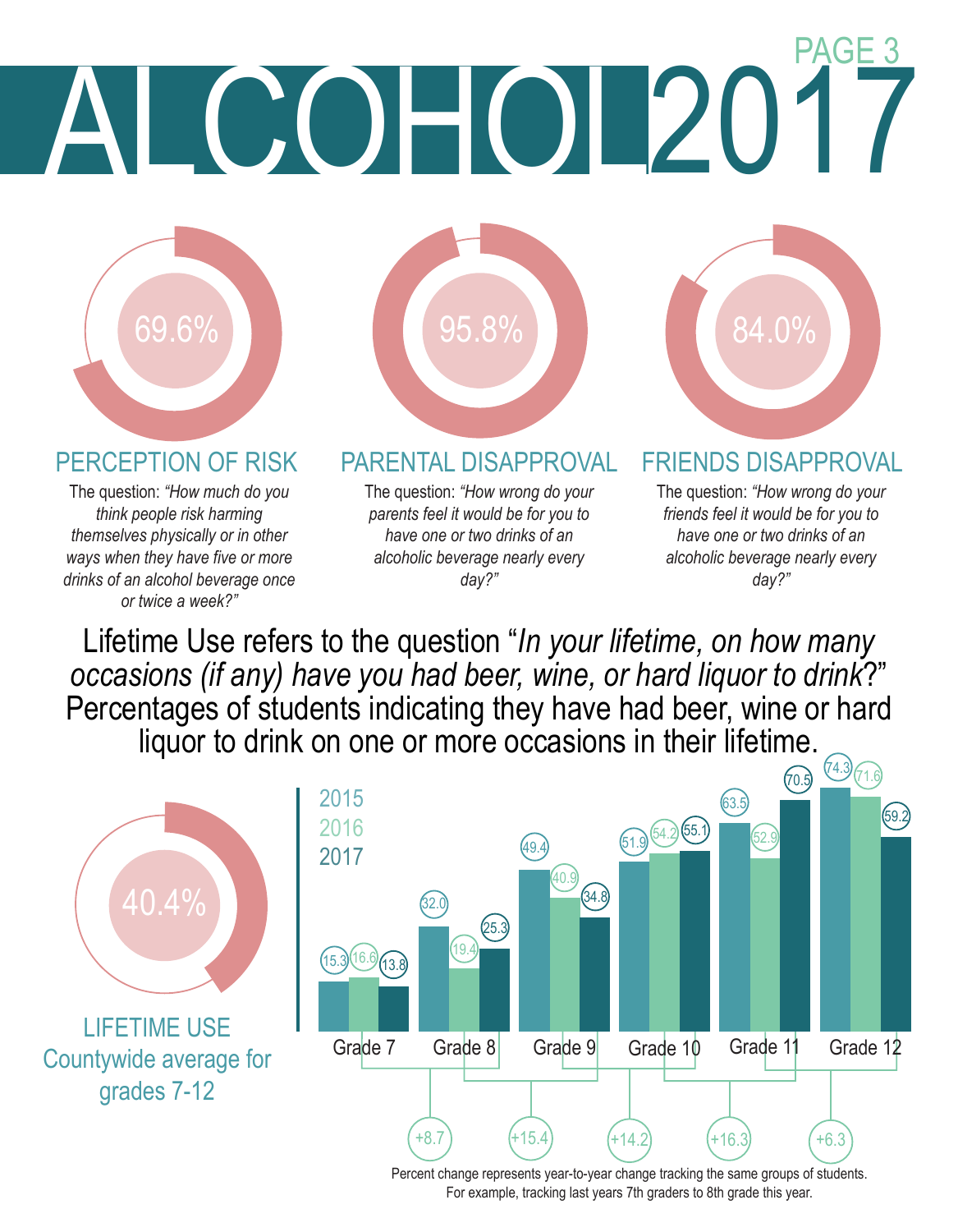# **COHOL20** PAGE 3



The question: *"How much do you think people risk harming themselves physically or in other ways when they have five or more drinks of an alcohol beverage once or twice a week?"*



### PERCEPTION OF RISK PARENTAL DISAPPROVAL FRIENDS DISAPPROVAL

The question: *"How wrong do your parents feel it would be for you to have one or two drinks of an alcoholic beverage nearly every day?"*



The question: *"How wrong do your friends feel it would be for you to have one or two drinks of an alcoholic beverage nearly every day?"*

Lifetime Use refers to the question "*In your lifetime, on how many occasions (if any) have you had beer, wine, or hard liquor to drink*?" Percentages of students indicating they have had beer, wine or hard liquor to drink on one or more occasions in their lifetime.



Percent change represents year-to-year change tracking the same groups of students. For example, tracking last years 7th graders to 8th grade this year.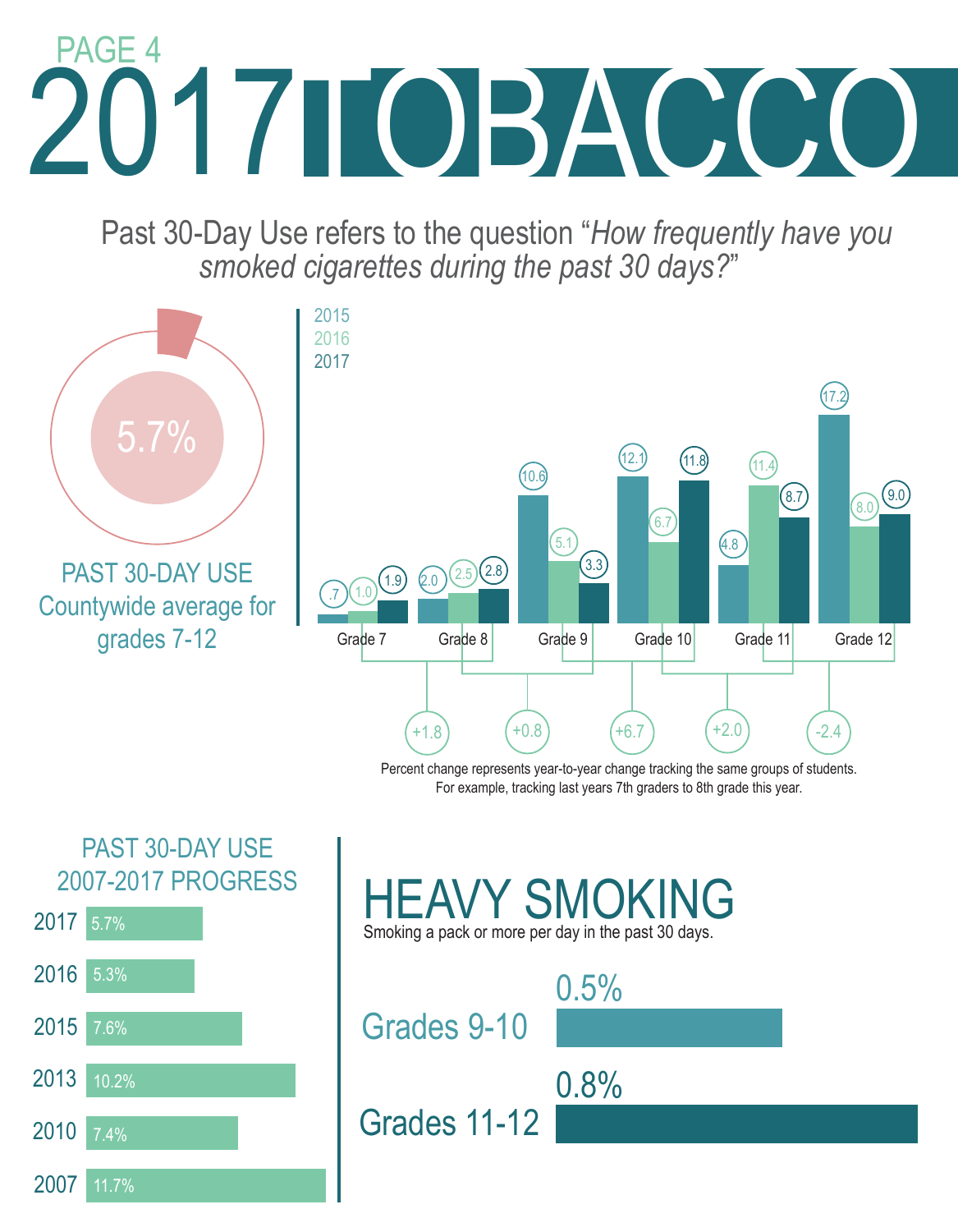# 2017 2017TOBACCO PAGE 4

 Past 30-Day Use refers to the question "*How frequently have you smoked cigarettes during the past 30 days?*"







Grades 11-12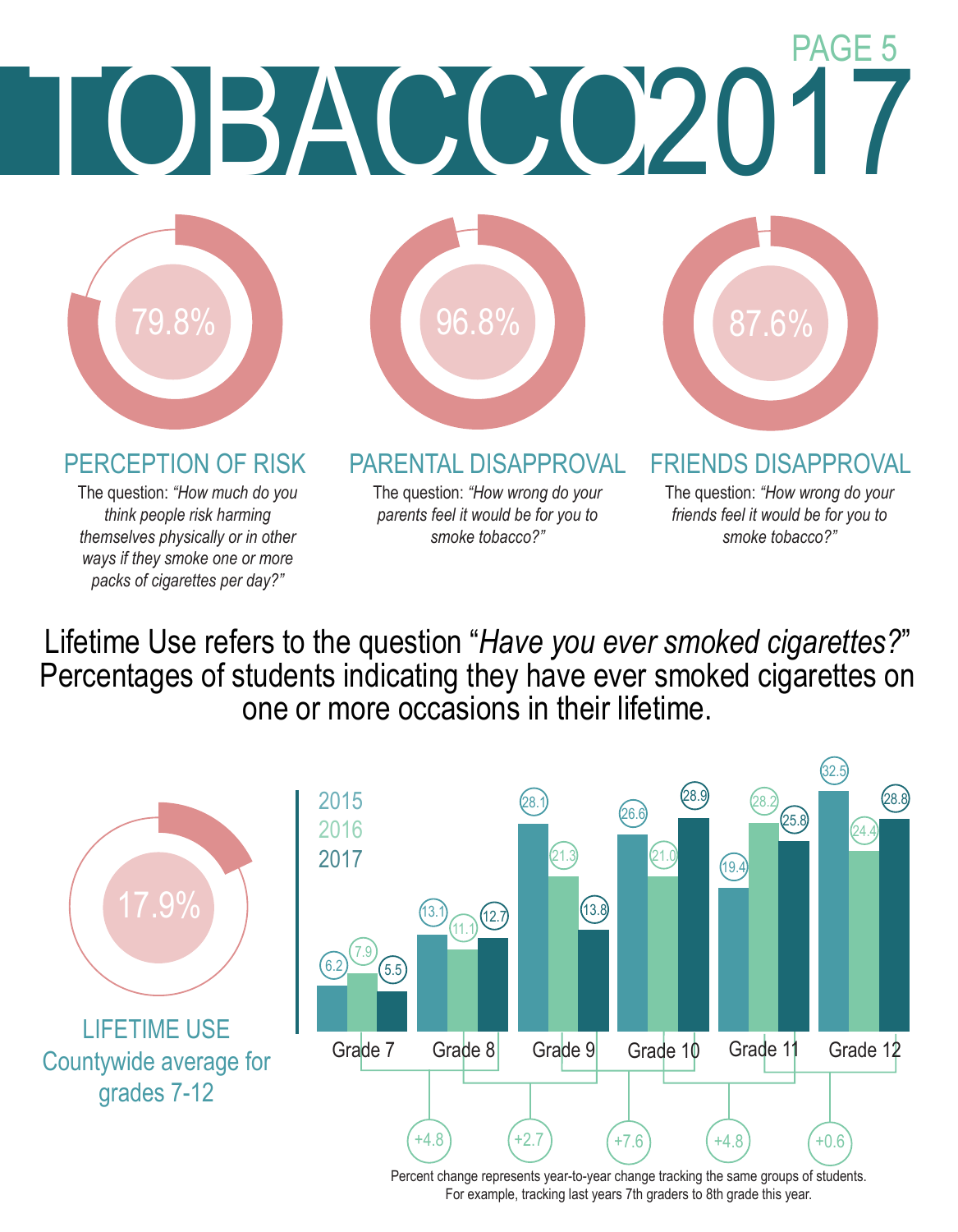

*think people risk harming themselves physically or in other ways if they smoke one or more packs of cigarettes per day?"*

*parents feel it would be for you to smoke tobacco?"*

*friends feel it would be for you to smoke tobacco?"*

Lifetime Use refers to the question "*Have you ever smoked cigarettes?*" Percentages of students indicating they have ever smoked cigarettes on one or more occasions in their lifetime.



LIFETIME USE Countywide average for grades 7-12



Percent change represents year-to-year change tracking the same groups of students. For example, tracking last years 7th graders to 8th grade this year.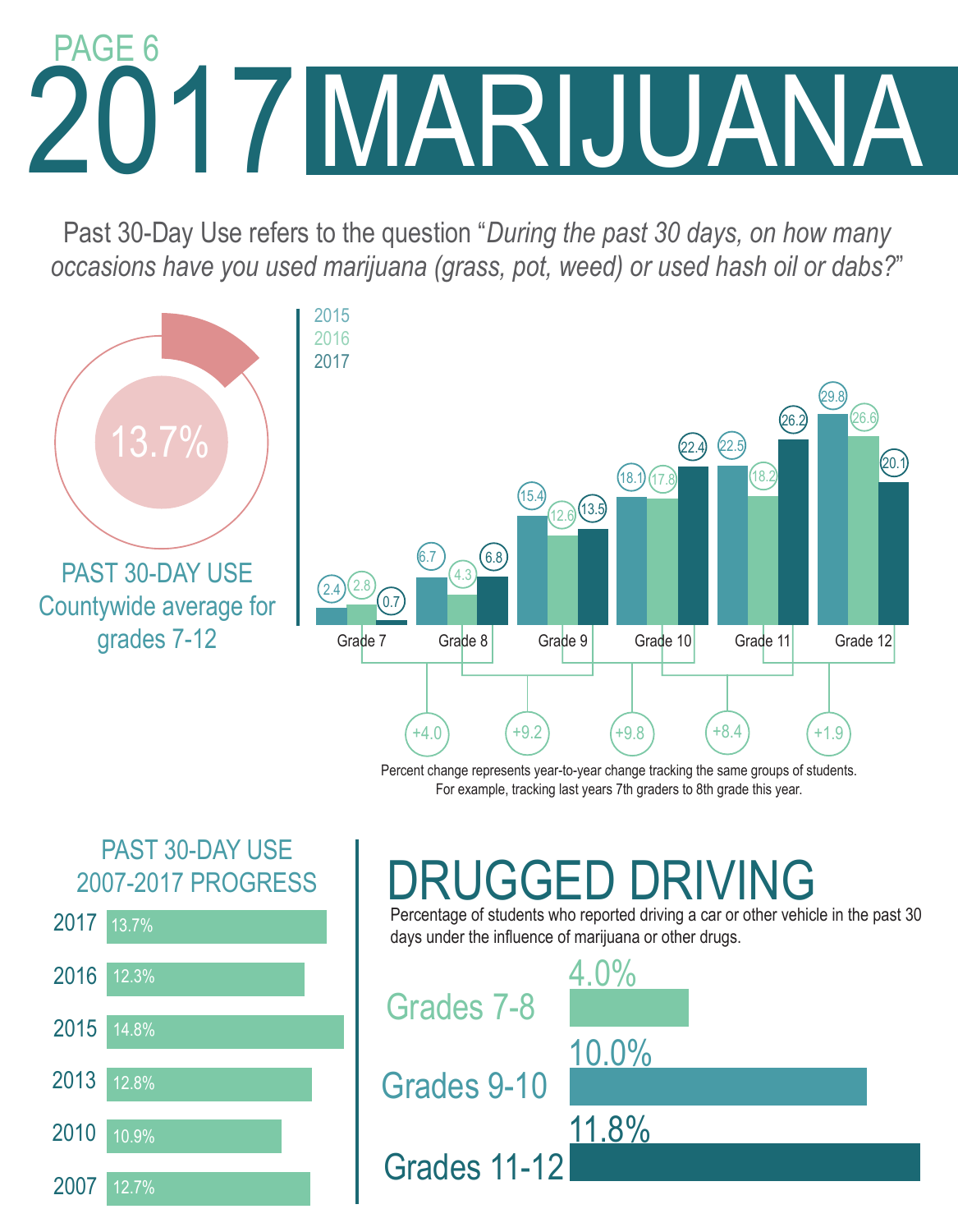# 2017 2017MARIJUANA PAGE 6

Past 30-Day Use refers to the question "*During the past 30 days, on how many occasions have you used marijuana (grass, pot, weed) or used hash oil or dabs?*"



Percent change represents year-to-year change tracking the same groups of students. For example, tracking last years 7th graders to 8th grade this year.

### PAST 30-DAY USE 2007-2017 PROGRESS



## DRUGGED DRIVING

Percentage of students who reported driving a car or other vehicle in the past 30 days under the influence of marijuana or other drugs.

4.0% 10.0% 11.8% Grades 7-8 Grades 9-10 Grades 11-12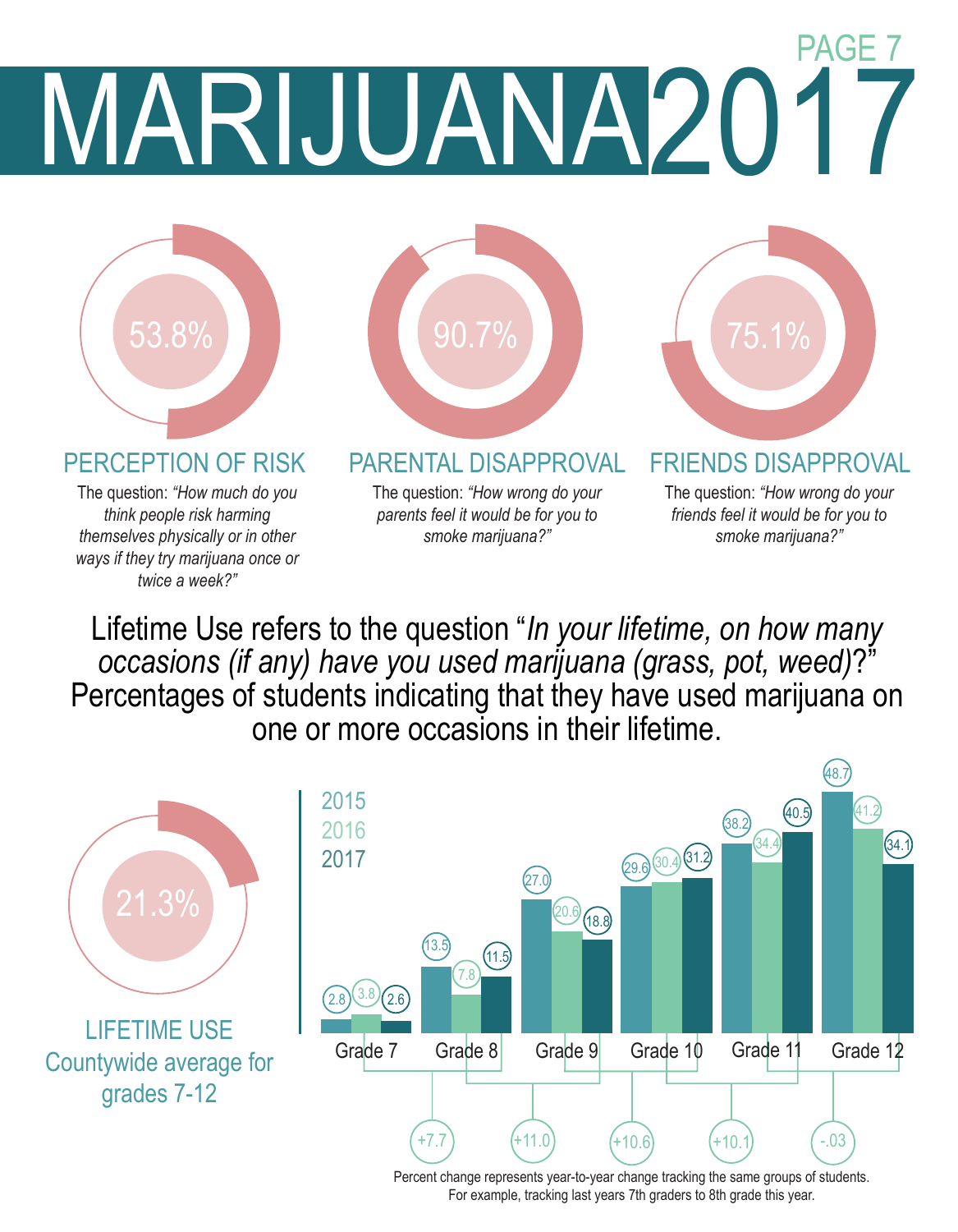## MARIJUANA2017 PAGE 7



The question: *"How much do you think people risk harming themselves physically or in other ways if they try marijuana once or twice a week?"*



### PERCEPTION OF RISK PARENTAL DISAPPROVAL FRIENDS DISAPPROVAL

The question: *"How wrong do your parents feel it would be for you to smoke marijuana?"*

The question: *"How wrong do your friends feel it would be for you to smoke marijuana?"*

Lifetime Use refers to the question "*In your lifetime, on how many occasions (if any) have you used marijuana (grass, pot, weed)*?" Percentages of students indicating that they have used marijuana on one or more occasions in their lifetime.



Percent change represents year-to-year change tracking the same groups of students. For example, tracking last years 7th graders to 8th grade this year.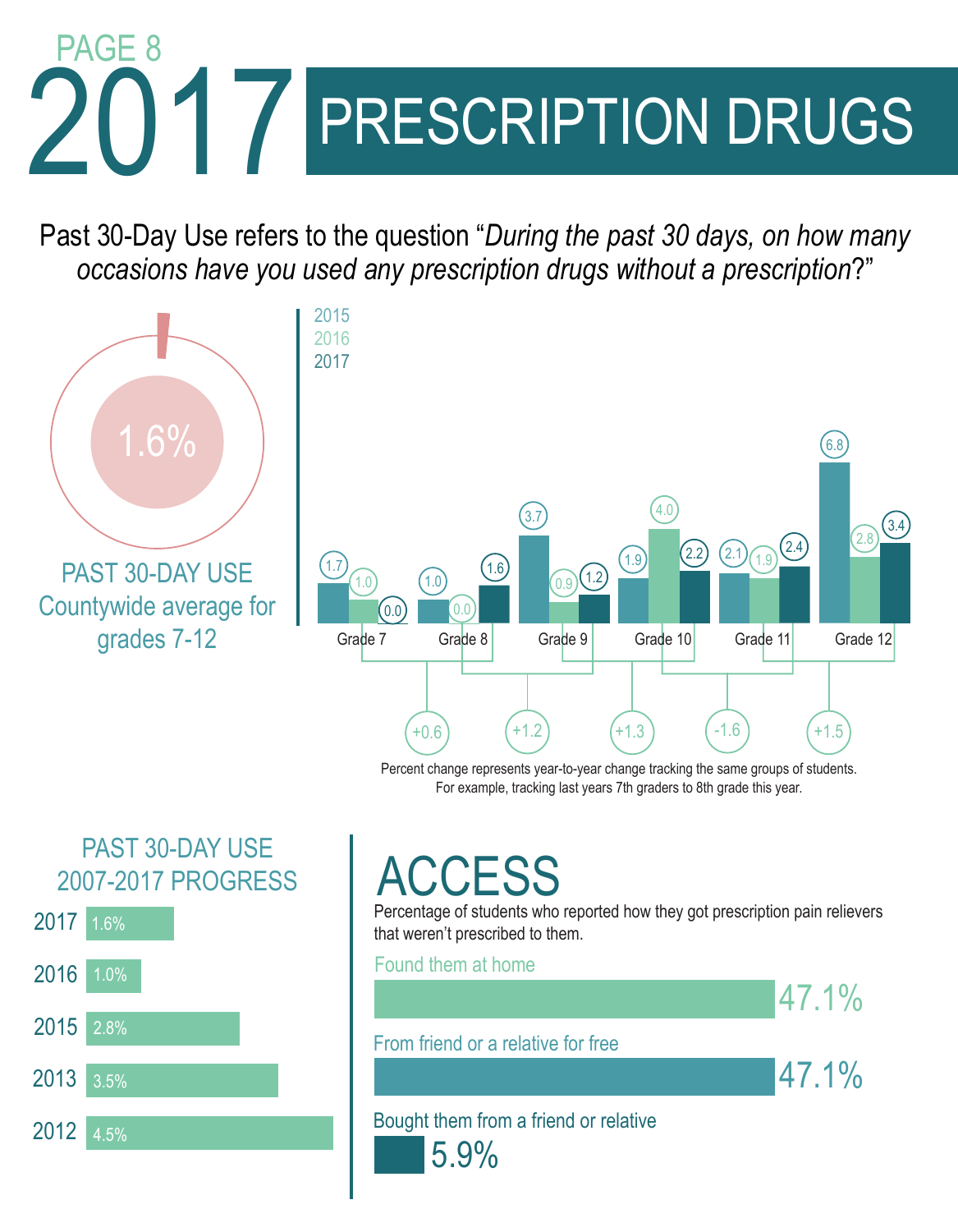# 2017 / PRESCRIPTION DRUGS PAGE 8

Past 30-Day Use refers to the question "*During the past 30 days, on how many occasions have you used any prescription drugs without a prescription*?"



Percent change represents year-to-year change tracking the same groups of students. For example, tracking last years 7th graders to 8th grade this year.

### PAST 30-DAY USE 2007-2017 PROGRESS



### CCESS

Percentage of students who reported how they got prescription pain relievers that weren't prescribed to them.

### Found them at home

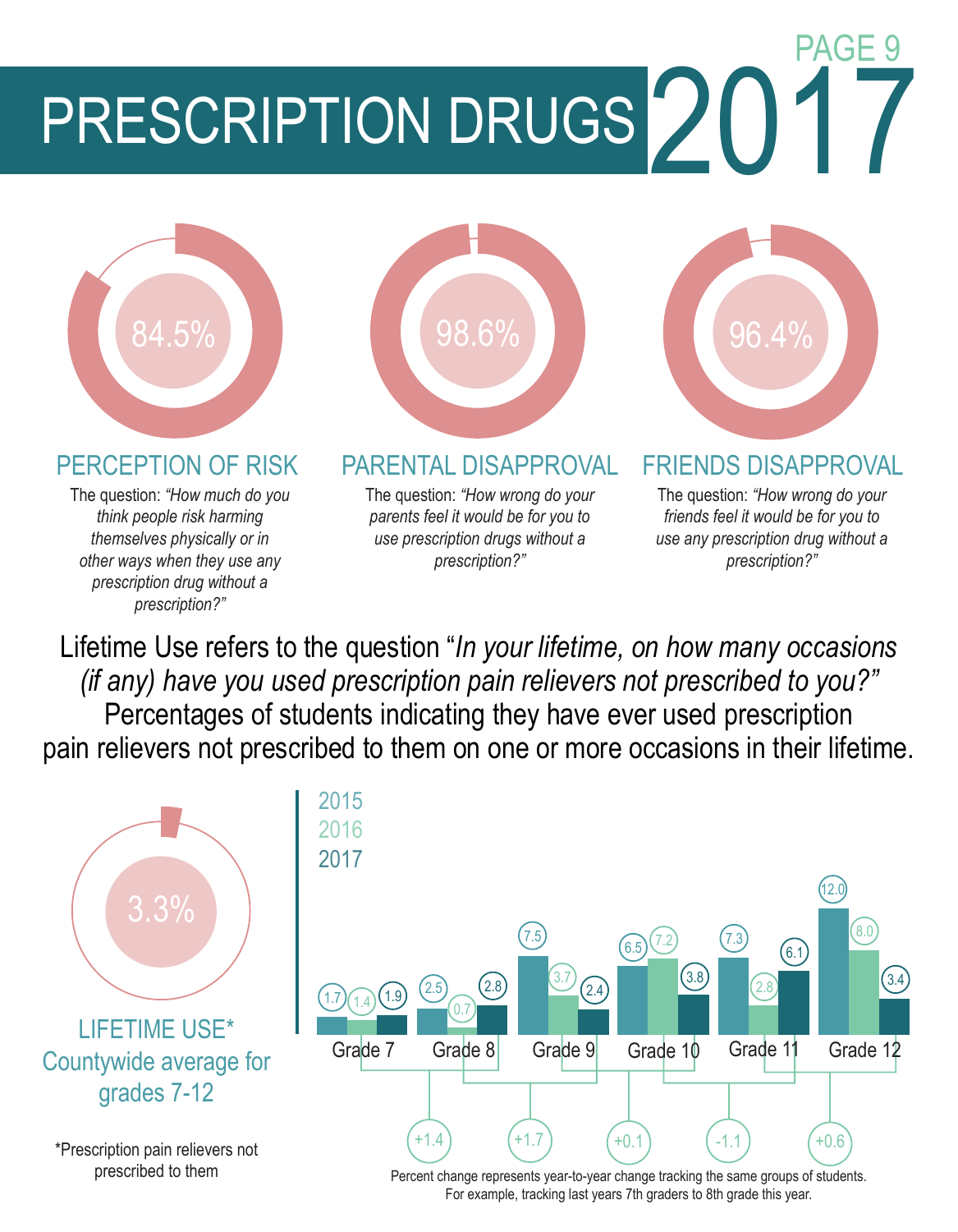PRESCRIPTION DRUGS 2017



The question: *"How much do you think people risk harming themselves physically or in other ways when they use any prescription drug without a prescription?"*



### PERCEPTION OF RISK PARENTAL DISAPPROVAL FRIENDS DISAPPROVAL

The question: *"How wrong do your parents feel it would be for you to use prescription drugs without a prescription?"*

PAGE 9

The question: *"How wrong do your friends feel it would be for you to use any prescription drug without a prescription?"*

Lifetime Use refers to the question "*In your lifetime, on how many occasions (if any) have you used prescription pain relievers not prescribed to you?"*  Percentages of students indicating they have ever used prescription pain relievers not prescribed to them on one or more occasions in their lifetime.



For example, tracking last years 7th graders to 8th grade this year.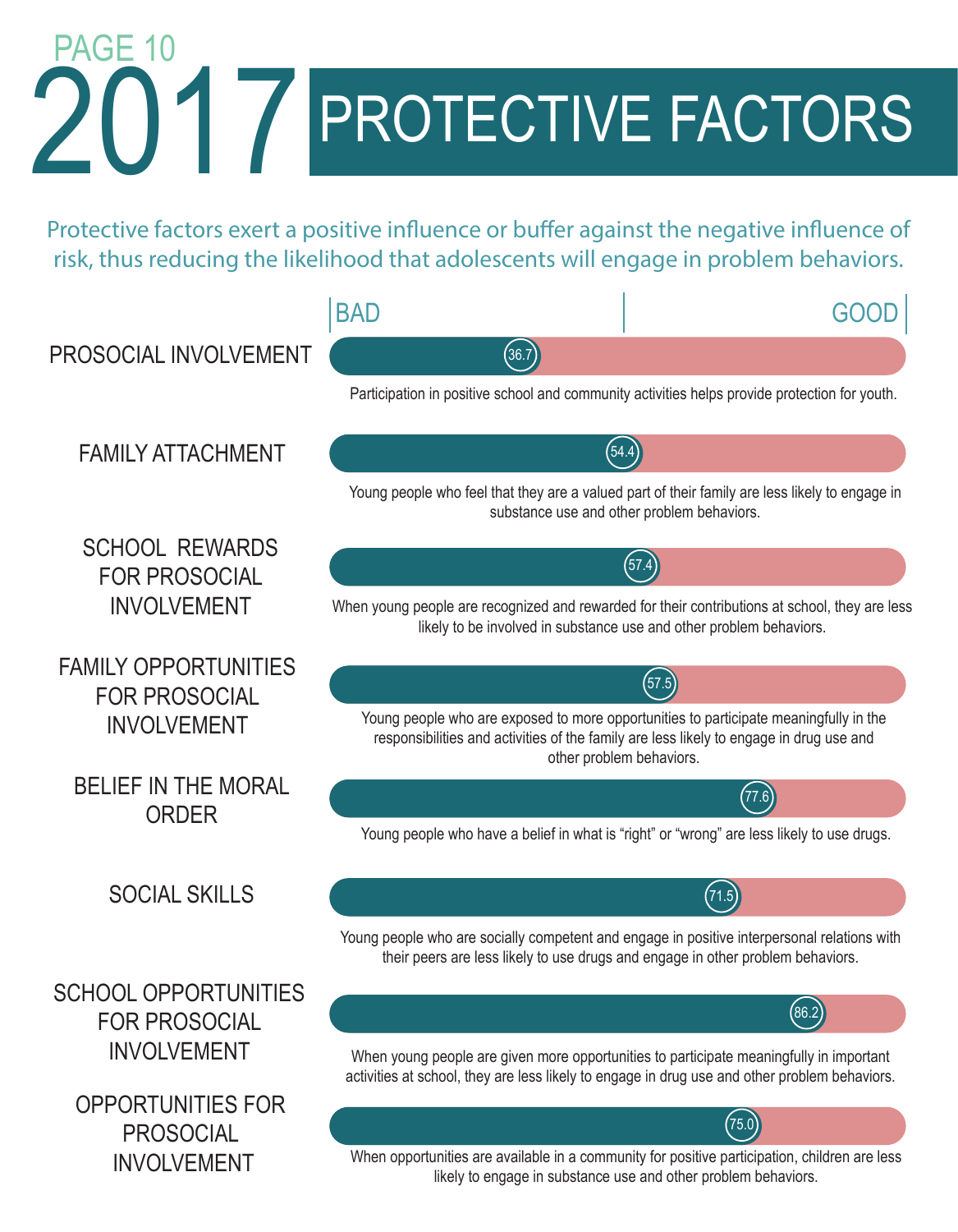# 2017 2017 PROTECTIVE FACTORS PAGE 10

Protective factors exert a positive influence or buffer against the negative influence of risk, thus reducing the likelihood that adolescents will engage in problem behaviors.

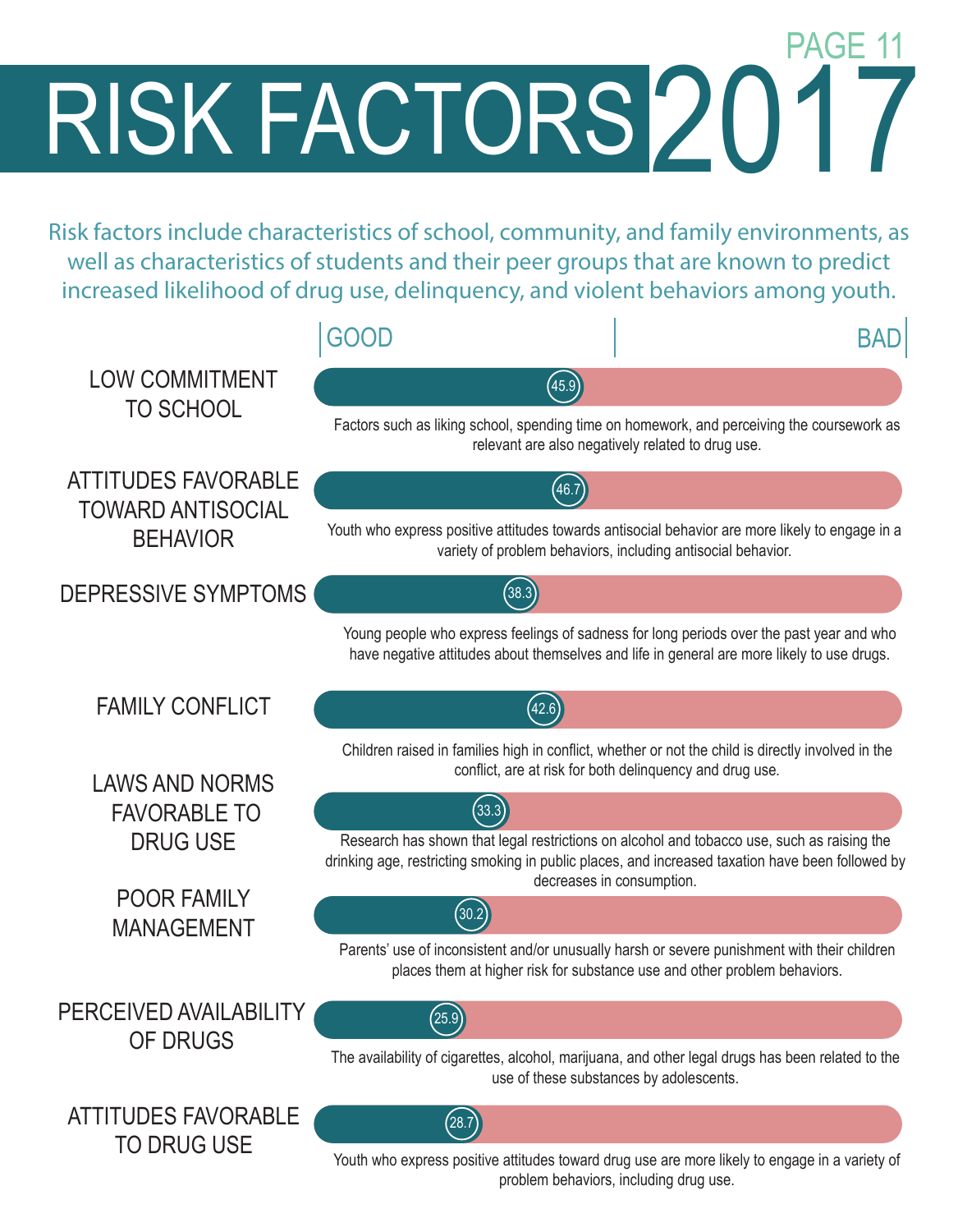RISK FACTORS2017 PAGE 1

Risk factors include characteristics of school, community, and family environments, as well as characteristics of students and their peer groups that are known to predict increased likelihood of drug use, delinquency, and violent behaviors among youth.

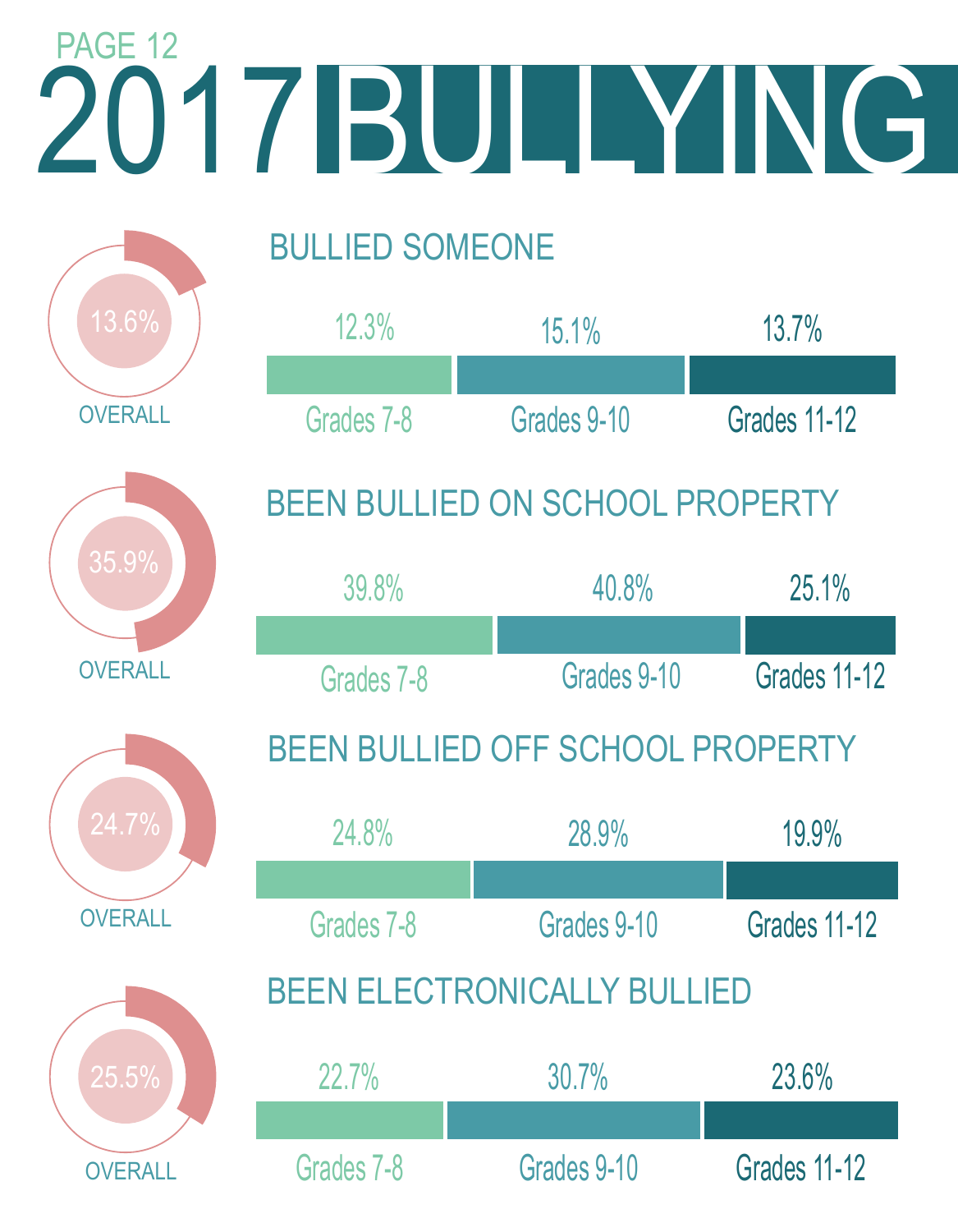## 2017 2017 BULLYING BULLIED SOMEONE BEEN BULLIED ON SCHOOL PROPERTY BEEN BULLIED OFF SCHOOL PROPERTY BEEN ELECTRONICALLY BULLIED **OVERALL OVERALL OVERALL OVERALL** PAGE 12 12.3% 15.1% 13.7% Grades 7-8 Grades 9-10 Grades 11-12 39.8% 40.8% 25.1% Grades 7-8 Grades 9-10 Grades 11-12 24.8% 28.9% 19.9% Grades 7-8 Grades 9-10 Grades 11-12 22.7% 30.7% 23.6% Grades 7-8 Grades 9-10 Grades 11-12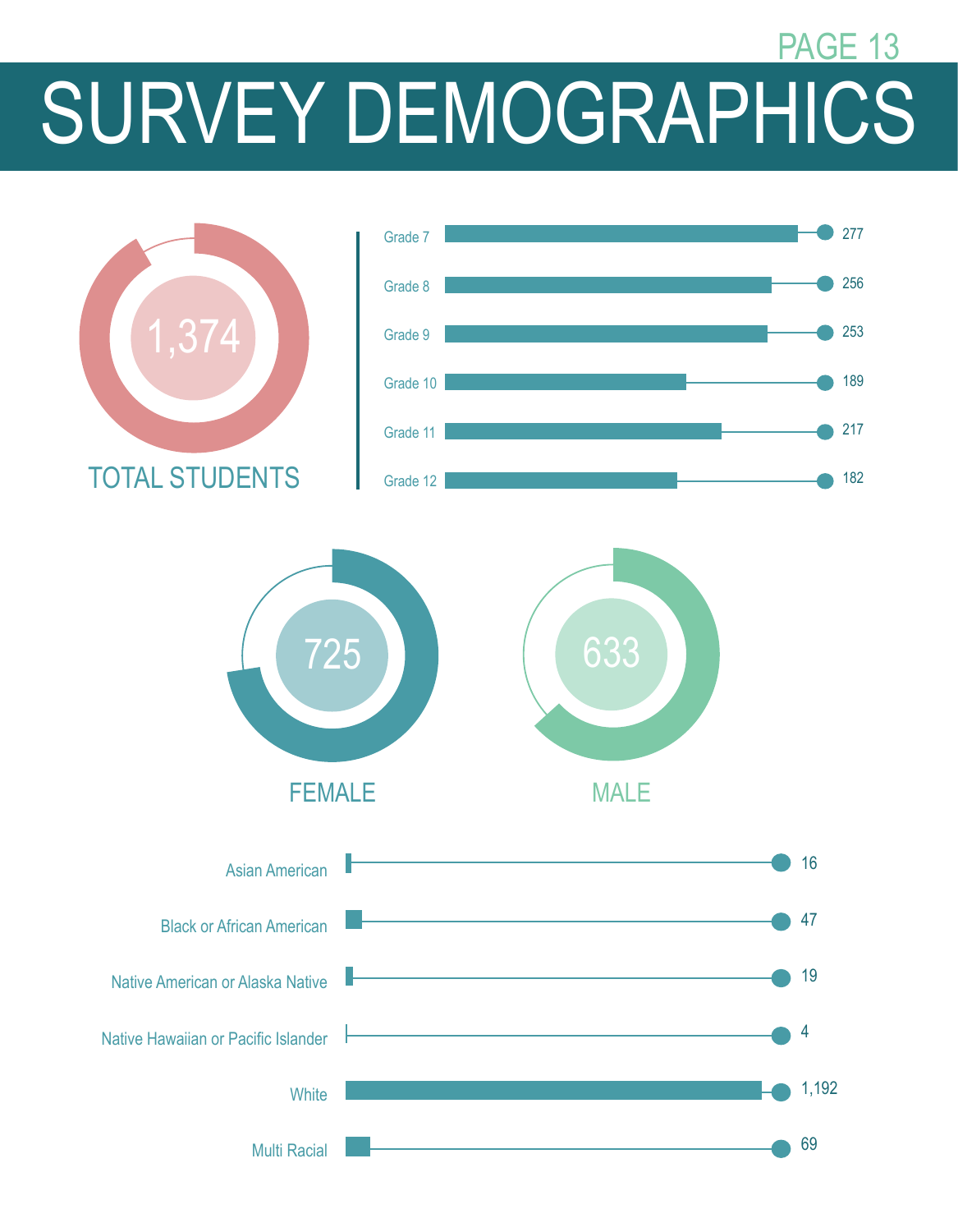## SURVEY DEMOGRAPHICS PAGE 13